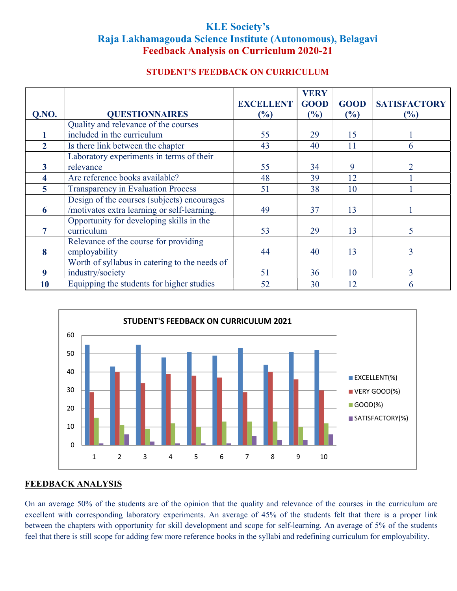# KLE Society's Raja Lakhamagouda Science Institute (Autonomous), Belagavi Feedback Analysis on Curriculum 2020-21

# STUDENT'S FEEDBACK ON CURRICULUM

|                |                                               |                  | <b>VERY</b> |             |                     |
|----------------|-----------------------------------------------|------------------|-------------|-------------|---------------------|
|                |                                               | <b>EXCELLENT</b> | <b>GOOD</b> | <b>GOOD</b> | <b>SATISFACTORY</b> |
| Q.NO.          | <b>QUESTIONNAIRES</b>                         | (%)              | (%)         | (%)         | (%)                 |
|                | Quality and relevance of the courses          |                  |             |             |                     |
|                | included in the curriculum                    | 55               | 29          | 15          |                     |
| $\overline{2}$ | Is there link between the chapter             | 43               | 40          | 11          | 6                   |
|                | Laboratory experiments in terms of their      |                  |             |             |                     |
| 3              | relevance                                     | 55               | 34          | 9           |                     |
| 4              | Are reference books available?                | 48               | 39          | 12          |                     |
| 5              | <b>Transparency in Evaluation Process</b>     | 51               | 38          | 10          |                     |
|                | Design of the courses (subjects) encourages   |                  |             |             |                     |
| 6              | /motivates extra learning or self-learning.   | 49               | 37          | 13          |                     |
|                | Opportunity for developing skills in the      |                  |             |             |                     |
|                | curriculum                                    | 53               | 29          | 13          | 5.                  |
|                | Relevance of the course for providing         |                  |             |             |                     |
| 8              | employability                                 | 44               | 40          | 13          | 3                   |
|                | Worth of syllabus in catering to the needs of |                  |             |             |                     |
| 9              | industry/society                              | 51               | 36          | 10          | 3                   |
| 10             | Equipping the students for higher studies     | 52               | 30          | 12          | 6                   |



#### FEEDBACK ANALYSIS

On an average 50% of the students are of the opinion that the quality and relevance of the courses in the curriculum are excellent with corresponding laboratory experiments. An average of 45% of the students felt that there is a proper link between the chapters with opportunity for skill development and scope for self-learning. An average of 5% of the students feel that there is still scope for adding few more reference books in the syllabi and redefining curriculum for employability.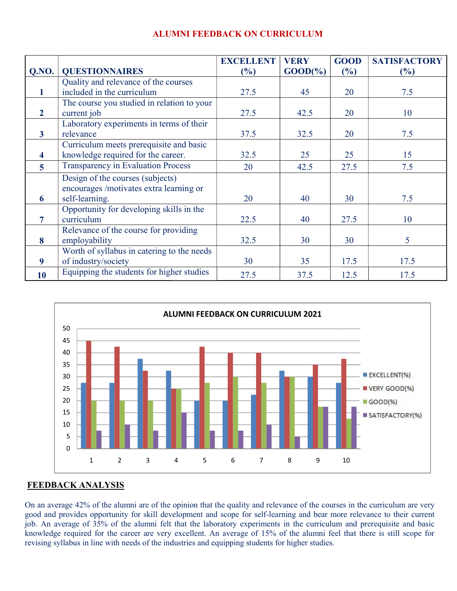|                         |                                            | <b>EXCELLENT</b> | <b>VERY</b>        | <b>GOOD</b> | <b>SATISFACTORY</b> |
|-------------------------|--------------------------------------------|------------------|--------------------|-------------|---------------------|
| Q.NO.                   | <b>QUESTIONNAIRES</b>                      | (%)              | $\text{GOOD}(\% )$ | (%)         | $\frac{6}{6}$       |
|                         | Quality and relevance of the courses       |                  |                    |             |                     |
| 1                       | included in the curriculum                 | 27.5             | 45                 | 20          | 7.5                 |
|                         | The course you studied in relation to your |                  |                    |             |                     |
| $\overline{2}$          | current job                                | 27.5             | 42.5               | 20          | 10                  |
|                         | Laboratory experiments in terms of their   |                  |                    |             |                     |
| $\mathbf{3}$            | relevance                                  | 37.5             | 32.5               | 20          | 7.5                 |
|                         | Curriculum meets prerequisite and basic    |                  |                    |             |                     |
| $\overline{\mathbf{4}}$ | knowledge required for the career.         | 32.5             | 25                 | 25          | 15                  |
| $\overline{5}$          | <b>Transparency in Evaluation Process</b>  | 20               | 42.5               | 27.5        | 7.5                 |
|                         | Design of the courses (subjects)           |                  |                    |             |                     |
|                         | encourages /motivates extra learning or    |                  |                    |             |                     |
| 6                       | self-learning.                             | 20               | 40                 | 30          | 7.5                 |
|                         | Opportunity for developing skills in the   |                  |                    |             |                     |
| 7                       | curriculum                                 | 22.5             | 40                 | 27.5        | 10                  |
|                         | Relevance of the course for providing      |                  |                    |             |                     |
| 8                       | employability                              | 32.5             | 30                 | 30          | 5 <sup>5</sup>      |
|                         | Worth of syllabus in catering to the needs |                  |                    |             |                     |
| 9                       | of industry/society                        | 30               | 35                 | 17.5        | 17.5                |
| <b>10</b>               | Equipping the students for higher studies  | 27.5             | 37.5               | 12.5        | 17.5                |

# ALUMNI ALUMNI FEEDBACK ON CURRICULUM



#### FEEDBACK ANALYSIS

On an average 42% of the alumni are of the opinion that the quality and relevance of the courses in the curriculum are very good and provides opportunity for skill development and scope for self-learning and bear more relevance to their current On an average 42% of the alumni are of the opinion that the quality and relevance of the courses in the curriculum are very good and provides opportunity for skill development and scope for self-learning and bear more rele knowledge required for the career are very excellent. An average of 15% of the alumni feel that there is still scope for revising syllabus in line with needs of the industries and equipping students for higher studies.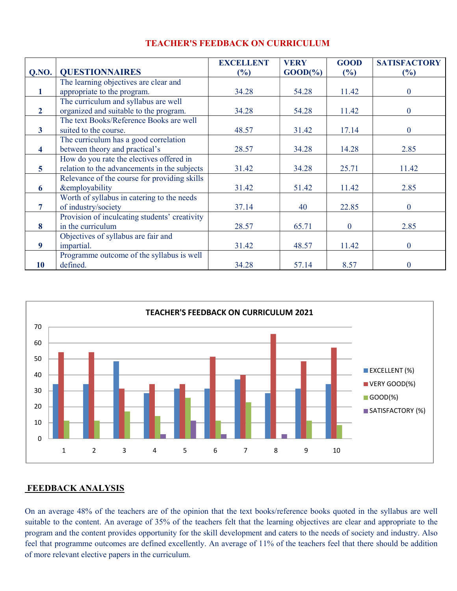|                |                                               | <b>EXCELLENT</b> | <b>VERY</b> | <b>GOOD</b>  | <b>SATISFACTORY</b> |
|----------------|-----------------------------------------------|------------------|-------------|--------------|---------------------|
| QNO.           | <b>QUESTIONNAIRES</b>                         | (%)              | $GOOD(\% )$ | (%)          | (%)                 |
|                | The learning objectives are clear and         |                  |             |              |                     |
| 1              | appropriate to the program.                   | 34.28            | 54.28       | 11.42        | $\theta$            |
|                | The curriculum and syllabus are well          |                  |             |              |                     |
| $\mathbf{2}$   | organized and suitable to the program.        | 34.28            | 54.28       | 11.42        | $\mathbf{0}$        |
|                | The text Books/Reference Books are well       |                  |             |              |                     |
| $\mathbf{3}$   | suited to the course.                         | 48.57            | 31.42       | 17.14        | $\bf{0}$            |
|                | The curriculum has a good correlation         |                  |             |              |                     |
| 4              | between theory and practical's                | 28.57            | 34.28       | 14.28        | 2.85                |
|                | How do you rate the electives offered in      |                  |             |              |                     |
| $\overline{5}$ | relation to the advancements in the subjects  | 31.42            | 34.28       | 25.71        | 11.42               |
|                | Relevance of the course for providing skills  |                  |             |              |                     |
| 6              | <b>&amp;employability</b>                     | 31.42            | 51.42       | 11.42        | 2.85                |
|                | Worth of syllabus in catering to the needs    |                  |             |              |                     |
| 7              | of industry/society                           | 37.14            | 40          | 22.85        | $\mathbf{0}$        |
|                | Provision of inculcating students' creativity |                  |             |              |                     |
| 8              | in the curriculum                             | 28.57            | 65.71       | $\mathbf{0}$ | 2.85                |
|                | Objectives of syllabus are fair and           |                  |             |              |                     |
| 9              | impartial.                                    | 31.42            | 48.57       | 11.42        | $\mathbf{0}$        |
|                | Programme outcome of the syllabus is well     |                  |             |              |                     |
| 10             | defined.                                      | 34.28            | 57.14       | 8.57         | $\Omega$            |

#### TEACHER'S FEEDBACK ON CURRICULUM



#### FEEDBACK ANALYSIS

On an average 48% of the teachers are of the opinion that the text books/reference books quoted in the syllabus are well suitable to the content. An average of 35% of the teachers felt that the learning objectives are clear and appropriate to the program and the content provides opportunity for the skill development and caters to the needs of society and industry. Also feel that programme outcomes are defined excellently. An average of 11% of the teachers feel that there should be addition of more relevant elective papers in the curriculum.